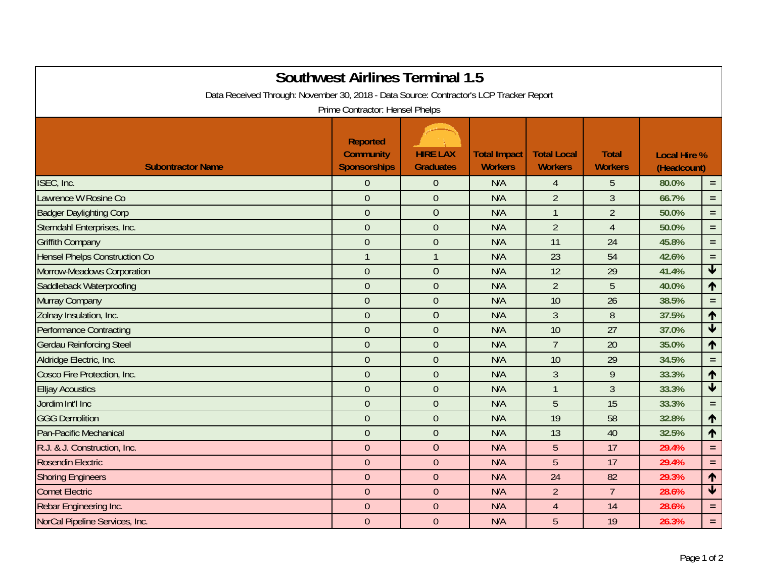| <b>Southwest Airlines Terminal 1.5</b><br>Data Received Through: November 30, 2018 - Data Source: Contractor's LCP Tracker Report<br>Prime Contractor: Hensel Phelps |                                                            |                                     |                                       |                                      |                                |                                    |                                 |  |  |  |
|----------------------------------------------------------------------------------------------------------------------------------------------------------------------|------------------------------------------------------------|-------------------------------------|---------------------------------------|--------------------------------------|--------------------------------|------------------------------------|---------------------------------|--|--|--|
| <b>Subontractor Name</b>                                                                                                                                             | <b>Reported</b><br><b>Community</b><br><b>Sponsorships</b> | <b>HIRE LAX</b><br><b>Graduates</b> | <b>Total Impact</b><br><b>Workers</b> | <b>Total Local</b><br><b>Workers</b> | <b>Total</b><br><b>Workers</b> | <b>Local Hire %</b><br>(Headcount) |                                 |  |  |  |
| ISEC, Inc.                                                                                                                                                           | $\mathbf 0$                                                | $\overline{0}$                      | N/A                                   | 4                                    | 5                              | 80.0%                              | $\equiv$                        |  |  |  |
| Lawrence W Rosine Co                                                                                                                                                 | $\mathbf{0}$                                               | $\overline{0}$                      | N/A                                   | $\overline{2}$                       | $\overline{3}$                 | 66.7%                              | $=$ $\,$                        |  |  |  |
| <b>Badger Daylighting Corp</b>                                                                                                                                       | $\mathbf 0$                                                | $\theta$                            | N/A                                   | $\mathbf{1}$                         | $\overline{2}$                 | 50.0%                              | $\equiv$                        |  |  |  |
| Sterndahl Enterprises, Inc.                                                                                                                                          | $\overline{0}$                                             | $\overline{0}$                      | N/A                                   | $\overline{2}$                       | $\overline{4}$                 | 50.0%                              | $=$ $\,$                        |  |  |  |
| <b>Griffith Company</b>                                                                                                                                              | $\overline{0}$                                             | $\overline{0}$                      | N/A                                   | 11                                   | 24                             | 45.8%                              | $\equiv$                        |  |  |  |
| <b>Hensel Phelps Construction Co</b>                                                                                                                                 | $\mathbf{1}$                                               | $\mathbf{1}$                        | N/A                                   | 23                                   | 54                             | 42.6%                              | $\equiv$                        |  |  |  |
| Morrow-Meadows Corporation                                                                                                                                           | $\overline{0}$                                             | $\overline{0}$                      | N/A                                   | 12                                   | 29                             | 41.4%                              | $\overline{\textbf{t}}$         |  |  |  |
| Saddleback Waterproofing                                                                                                                                             | $\boldsymbol{0}$                                           | $\theta$                            | N/A                                   | $\overline{2}$                       | 5                              | 40.0%                              | $\blacklozenge$                 |  |  |  |
| Murray Company                                                                                                                                                       | $\overline{0}$                                             | $\overline{0}$                      | N/A                                   | 10                                   | 26                             | 38.5%                              | $\equiv$                        |  |  |  |
| Zolnay Insulation, Inc.                                                                                                                                              | $\boldsymbol{0}$                                           | $\theta$                            | N/A                                   | $\mathfrak{Z}$                       | 8                              | 37.5%                              | 1                               |  |  |  |
| <b>Performance Contracting</b>                                                                                                                                       | $\boldsymbol{0}$                                           | $\theta$                            | N/A                                   | 10                                   | 27                             | 37.0%                              | $\overline{\blacktriangledown}$ |  |  |  |
| <b>Gerdau Reinforcing Steel</b>                                                                                                                                      | $\overline{0}$                                             | $\overline{0}$                      | N/A                                   | $\overline{7}$                       | 20                             | 35.0%                              | ↑                               |  |  |  |
| Aldridge Electric, Inc.                                                                                                                                              | $\overline{0}$                                             | $\overline{0}$                      | N/A                                   | 10                                   | 29                             | 34.5%                              | $=$ $\,$                        |  |  |  |
| Cosco Fire Protection, Inc.                                                                                                                                          | $\overline{0}$                                             | $\overline{0}$                      | N/A                                   | 3                                    | 9                              | 33.3%                              | 个                               |  |  |  |
| <b>Elljay Acoustics</b>                                                                                                                                              | $\overline{0}$                                             | $\mathbf{0}$                        | N/A                                   | $\mathbf{1}$                         | $\overline{3}$                 | 33.3%                              | $\overline{\blacklozenge}$      |  |  |  |
| Jordim Int'l Inc                                                                                                                                                     | $\mathbf 0$                                                | $\theta$                            | N/A                                   | 5                                    | 15                             | 33.3%                              | $\equiv$                        |  |  |  |
| <b>GGG Demolition</b>                                                                                                                                                | $\overline{0}$                                             | $\overline{0}$                      | N/A                                   | 19                                   | 58                             | 32.8%                              | 1                               |  |  |  |
| Pan-Pacific Mechanical                                                                                                                                               | $\overline{0}$                                             | $\overline{0}$                      | N/A                                   | 13                                   | 40                             | 32.5%                              | 个                               |  |  |  |
| R.J. & J. Construction, Inc.                                                                                                                                         | $\overline{0}$                                             | $\overline{0}$                      | N/A                                   | 5                                    | 17                             | 29.4%                              | $\equiv$                        |  |  |  |
| <b>Rosendin Electric</b>                                                                                                                                             | $\theta$                                                   | $\overline{0}$                      | N/A                                   | 5                                    | 17                             | 29.4%                              | $\equiv$                        |  |  |  |
| <b>Shoring Engineers</b>                                                                                                                                             | $\mathbf 0$                                                | $\overline{0}$                      | N/A                                   | 24                                   | 82                             | 29.3%                              | 1                               |  |  |  |
| <b>Comet Electric</b>                                                                                                                                                | $\boldsymbol{0}$                                           | $\theta$                            | N/A                                   | $\overline{2}$                       | $\overline{7}$                 | 28.6%                              | $\overline{\blacktriangledown}$ |  |  |  |
| Rebar Engineering Inc.                                                                                                                                               | $\overline{0}$                                             | $\overline{0}$                      | N/A                                   | $\overline{4}$                       | 14                             | 28.6%                              | $\equiv$                        |  |  |  |
| NorCal Pipeline Services, Inc.                                                                                                                                       | $\overline{0}$                                             | $\overline{0}$                      | N/A                                   | 5                                    | 19                             | 26.3%                              | $\equiv$                        |  |  |  |